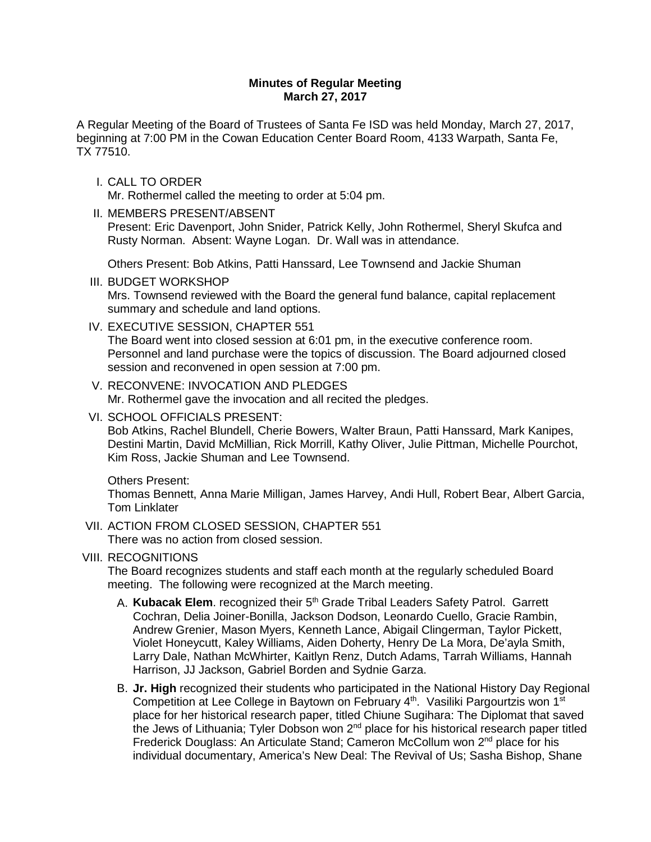## **Minutes of Regular Meeting March 27, 2017**

A Regular Meeting of the Board of Trustees of Santa Fe ISD was held Monday, March 27, 2017, beginning at 7:00 PM in the Cowan Education Center Board Room, 4133 Warpath, Santa Fe, TX 77510.

I. CALL TO ORDER

Mr. Rothermel called the meeting to order at 5:04 pm.

II. MEMBERS PRESENT/ABSENT

Present: Eric Davenport, John Snider, Patrick Kelly, John Rothermel, Sheryl Skufca and Rusty Norman. Absent: Wayne Logan. Dr. Wall was in attendance.

Others Present: Bob Atkins, Patti Hanssard, Lee Townsend and Jackie Shuman

- III. BUDGET WORKSHOP Mrs. Townsend reviewed with the Board the general fund balance, capital replacement summary and schedule and land options.
- IV. EXECUTIVE SESSION, CHAPTER 551

The Board went into closed session at 6:01 pm, in the executive conference room. Personnel and land purchase were the topics of discussion. The Board adjourned closed session and reconvened in open session at 7:00 pm.

- V. RECONVENE: INVOCATION AND PLEDGES Mr. Rothermel gave the invocation and all recited the pledges.
- VI. SCHOOL OFFICIALS PRESENT:

Bob Atkins, Rachel Blundell, Cherie Bowers, Walter Braun, Patti Hanssard, Mark Kanipes, Destini Martin, David McMillian, Rick Morrill, Kathy Oliver, Julie Pittman, Michelle Pourchot, Kim Ross, Jackie Shuman and Lee Townsend.

# Others Present:

Thomas Bennett, Anna Marie Milligan, James Harvey, Andi Hull, Robert Bear, Albert Garcia, Tom Linklater

VII. ACTION FROM CLOSED SESSION, CHAPTER 551

There was no action from closed session.

# VIII. RECOGNITIONS

The Board recognizes students and staff each month at the regularly scheduled Board meeting. The following were recognized at the March meeting.

- A. **Kubacak Elem**. recognized their 5th Grade Tribal Leaders Safety Patrol. Garrett Cochran, Delia Joiner-Bonilla, Jackson Dodson, Leonardo Cuello, Gracie Rambin, Andrew Grenier, Mason Myers, Kenneth Lance, Abigail Clingerman, Taylor Pickett, Violet Honeycutt, Kaley Williams, Aiden Doherty, Henry De La Mora, De'ayla Smith, Larry Dale, Nathan McWhirter, Kaitlyn Renz, Dutch Adams, Tarrah Williams, Hannah Harrison, JJ Jackson, Gabriel Borden and Sydnie Garza.
- B. **Jr. High** recognized their students who participated in the National History Day Regional Competition at Lee College in Baytown on February 4<sup>th</sup>. Vasiliki Pargourtzis won 1<sup>st</sup> place for her historical research paper, titled Chiune Sugihara: The Diplomat that saved the Jews of Lithuania; Tyler Dobson won  $2<sup>nd</sup>$  place for his historical research paper titled Frederick Douglass: An Articulate Stand; Cameron McCollum won 2nd place for his individual documentary, America's New Deal: The Revival of Us; Sasha Bishop, Shane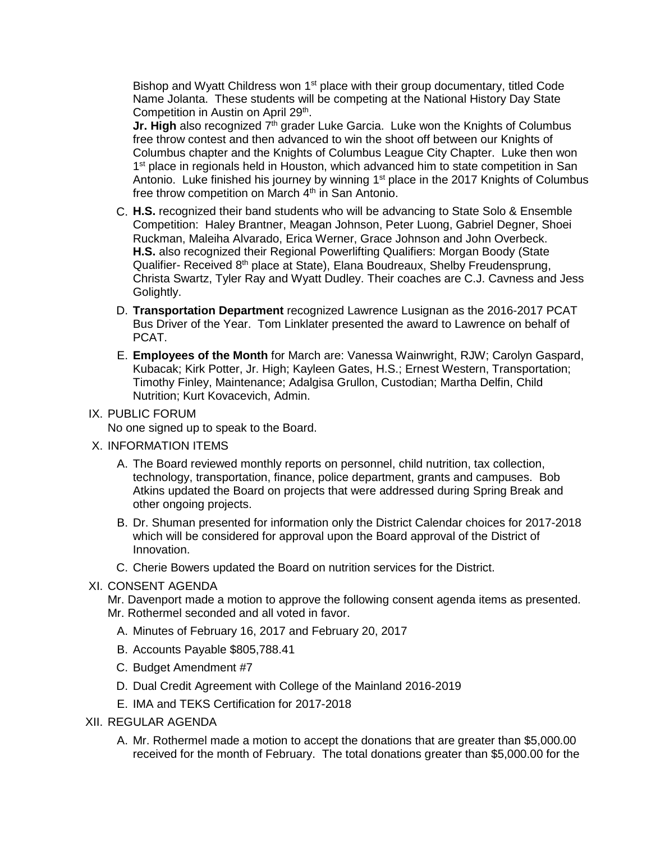Bishop and Wyatt Childress won 1<sup>st</sup> place with their group documentary, titled Code Name Jolanta. These students will be competing at the National History Day State Competition in Austin on April 29<sup>th</sup>.

**Jr. High** also recognized 7<sup>th</sup> grader Luke Garcia. Luke won the Knights of Columbus free throw contest and then advanced to win the shoot off between our Knights of Columbus chapter and the Knights of Columbus League City Chapter. Luke then won 1<sup>st</sup> place in regionals held in Houston, which advanced him to state competition in San Antonio. Luke finished his journey by winning 1<sup>st</sup> place in the 2017 Knights of Columbus free throw competition on March 4<sup>th</sup> in San Antonio.

- C. **H.S.** recognized their band students who will be advancing to State Solo & Ensemble Competition: Haley Brantner, Meagan Johnson, Peter Luong, Gabriel Degner, Shoei Ruckman, Maleiha Alvarado, Erica Werner, Grace Johnson and John Overbeck. **H.S.** also recognized their Regional Powerlifting Qualifiers: Morgan Boody (State Qualifier- Received 8<sup>th</sup> place at State), Elana Boudreaux, Shelby Freudensprung, Christa Swartz, Tyler Ray and Wyatt Dudley. Their coaches are C.J. Cavness and Jess Golightly.
- D. **Transportation Department** recognized Lawrence Lusignan as the 2016-2017 PCAT Bus Driver of the Year. Tom Linklater presented the award to Lawrence on behalf of PCAT.
- E. **Employees of the Month** for March are: Vanessa Wainwright, RJW; Carolyn Gaspard, Kubacak; Kirk Potter, Jr. High; Kayleen Gates, H.S.; Ernest Western, Transportation; Timothy Finley, Maintenance; Adalgisa Grullon, Custodian; Martha Delfin, Child Nutrition; Kurt Kovacevich, Admin.

### IX. PUBLIC FORUM

No one signed up to speak to the Board.

- X. INFORMATION ITEMS
	- A. The Board reviewed monthly reports on personnel, child nutrition, tax collection, technology, transportation, finance, police department, grants and campuses. Bob Atkins updated the Board on projects that were addressed during Spring Break and other ongoing projects.
	- B. Dr. Shuman presented for information only the District Calendar choices for 2017-2018 which will be considered for approval upon the Board approval of the District of Innovation.
	- C. Cherie Bowers updated the Board on nutrition services for the District.

### XI. CONSENT AGENDA

Mr. Davenport made a motion to approve the following consent agenda items as presented. Mr. Rothermel seconded and all voted in favor.

- A. Minutes of February 16, 2017 and February 20, 2017
- B. Accounts Payable \$805,788.41
- C. Budget Amendment #7
- D. Dual Credit Agreement with College of the Mainland 2016-2019
- E. IMA and TEKS Certification for 2017-2018
- XII. REGULAR AGENDA
	- A. Mr. Rothermel made a motion to accept the donations that are greater than \$5,000.00 received for the month of February. The total donations greater than \$5,000.00 for the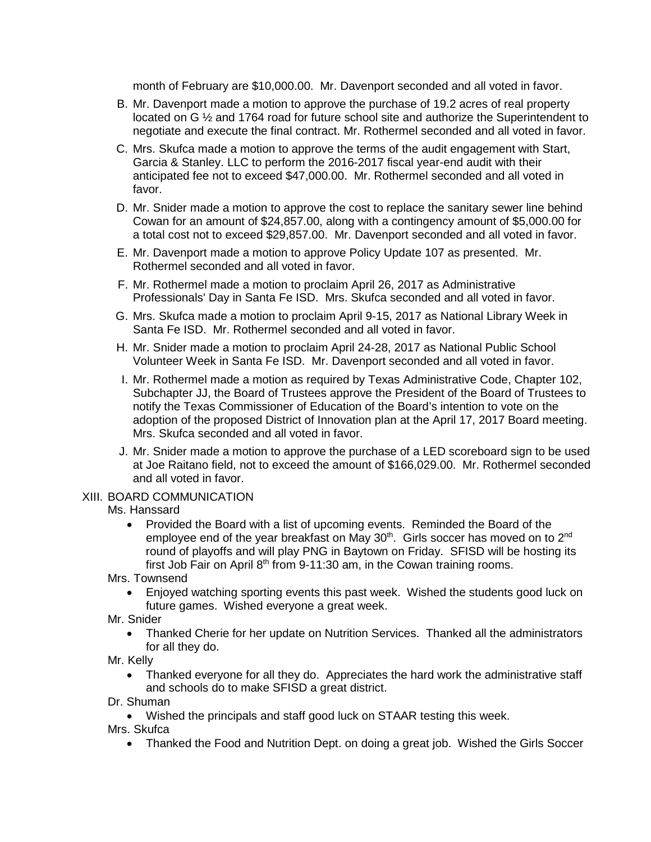month of February are \$10,000.00. Mr. Davenport seconded and all voted in favor.

- B. Mr. Davenport made a motion to approve the purchase of 19.2 acres of real property located on G  $\frac{1}{2}$  and 1764 road for future school site and authorize the Superintendent to negotiate and execute the final contract. Mr. Rothermel seconded and all voted in favor.
- C. Mrs. Skufca made a motion to approve the terms of the audit engagement with Start, Garcia & Stanley. LLC to perform the 2016-2017 fiscal year-end audit with their anticipated fee not to exceed \$47,000.00. Mr. Rothermel seconded and all voted in favor.
- D. Mr. Snider made a motion to approve the cost to replace the sanitary sewer line behind Cowan for an amount of \$24,857.00, along with a contingency amount of \$5,000.00 for a total cost not to exceed \$29,857.00. Mr. Davenport seconded and all voted in favor.
- E. Mr. Davenport made a motion to approve Policy Update 107 as presented. Mr. Rothermel seconded and all voted in favor.
- F. Mr. Rothermel made a motion to proclaim April 26, 2017 as Administrative Professionals' Day in Santa Fe ISD. Mrs. Skufca seconded and all voted in favor.
- G. Mrs. Skufca made a motion to proclaim April 9-15, 2017 as National Library Week in Santa Fe ISD. Mr. Rothermel seconded and all voted in favor.
- H. Mr. Snider made a motion to proclaim April 24-28, 2017 as National Public School Volunteer Week in Santa Fe ISD. Mr. Davenport seconded and all voted in favor.
- I. Mr. Rothermel made a motion as required by Texas Administrative Code, Chapter 102, Subchapter JJ, the Board of Trustees approve the President of the Board of Trustees to notify the Texas Commissioner of Education of the Board's intention to vote on the adoption of the proposed District of Innovation plan at the April 17, 2017 Board meeting. Mrs. Skufca seconded and all voted in favor.
- J. Mr. Snider made a motion to approve the purchase of a LED scoreboard sign to be used at Joe Raitano field, not to exceed the amount of \$166,029.00. Mr. Rothermel seconded and all voted in favor.

### XIII. BOARD COMMUNICATION

### Ms. Hanssard

• Provided the Board with a list of upcoming events. Reminded the Board of the employee end of the year breakfast on May 30<sup>th</sup>. Girls soccer has moved on to 2<sup>nd</sup> round of playoffs and will play PNG in Baytown on Friday. SFISD will be hosting its first Job Fair on April  $8<sup>th</sup>$  from 9-11:30 am, in the Cowan training rooms.

Mrs. Townsend

- Enjoyed watching sporting events this past week. Wished the students good luck on future games. Wished everyone a great week.
- Mr. Snider
	- Thanked Cherie for her update on Nutrition Services. Thanked all the administrators for all they do.
- Mr. Kelly
	- Thanked everyone for all they do. Appreciates the hard work the administrative staff and schools do to make SFISD a great district.
- Dr. Shuman
	- Wished the principals and staff good luck on STAAR testing this week.

Mrs. Skufca

• Thanked the Food and Nutrition Dept. on doing a great job. Wished the Girls Soccer